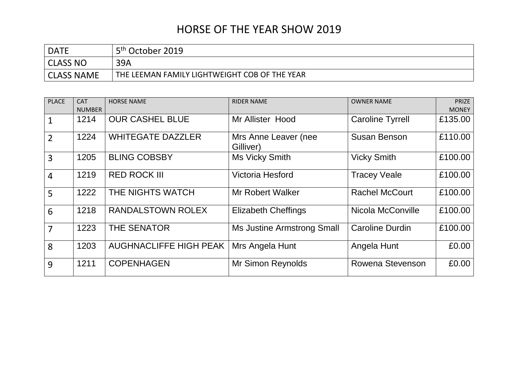## HORSE OF THE YEAR SHOW 2019

| <b>DATE</b>       | 5 <sup>th</sup> October 2019                  |
|-------------------|-----------------------------------------------|
| CLASS NO          | 39A                                           |
| <b>CLASS NAME</b> | THE LEEMAN FAMILY LIGHTWEIGHT COB OF THE YEAR |

| <b>PLACE</b>   | <b>CAT</b><br><b>NUMBER</b> | <b>HORSE NAME</b>             | <b>RIDER NAME</b>                 | <b>OWNER NAME</b>       | <b>PRIZE</b><br><b>MONEY</b> |
|----------------|-----------------------------|-------------------------------|-----------------------------------|-------------------------|------------------------------|
| $\mathbf{1}$   | 1214                        | <b>OUR CASHEL BLUE</b>        | Mr Allister Hood                  | <b>Caroline Tyrrell</b> | £135.00                      |
| $\overline{2}$ | 1224                        | <b>WHITEGATE DAZZLER</b>      | Mrs Anne Leaver (nee<br>Gilliver) | <b>Susan Benson</b>     | £110.00                      |
| 3              | 1205                        | <b>BLING COBSBY</b>           | Ms Vicky Smith                    | <b>Vicky Smith</b>      | £100.00                      |
| $\overline{4}$ | 1219                        | <b>RED ROCK III</b>           | Victoria Hesford                  | <b>Tracey Veale</b>     | £100.00                      |
| 5              | 1222                        | THE NIGHTS WATCH              | <b>Mr Robert Walker</b>           | <b>Rachel McCourt</b>   | £100.00                      |
| 6              | 1218                        | RANDALSTOWN ROLEX             | <b>Elizabeth Cheffings</b>        | Nicola McConville       | £100.00                      |
| $\overline{7}$ | 1223                        | <b>THE SENATOR</b>            | <b>Ms Justine Armstrong Small</b> | <b>Caroline Durdin</b>  | £100.00                      |
| 8              | 1203                        | <b>AUGHNACLIFFE HIGH PEAK</b> | Mrs Angela Hunt                   | Angela Hunt             | £0.00                        |
| 9              | 1211                        | <b>COPENHAGEN</b>             | <b>Mr Simon Reynolds</b>          | Rowena Stevenson        | £0.00                        |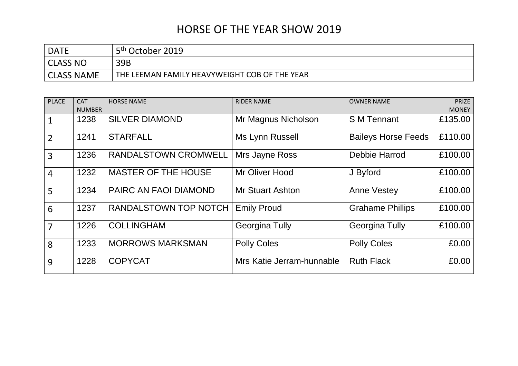## HORSE OF THE YEAR SHOW 2019

| <b>DATE</b>       | 5 <sup>th</sup> October 2019                  |
|-------------------|-----------------------------------------------|
| CLASS NO          | 39B                                           |
| <b>CLASS NAME</b> | THE LEEMAN FAMILY HEAVYWEIGHT COB OF THE YEAR |

| <b>PLACE</b>   | <b>CAT</b><br><b>NUMBER</b> | <b>HORSE NAME</b>            | <b>RIDER NAME</b>         | <b>OWNER NAME</b>          | <b>PRIZE</b><br><b>MONEY</b> |
|----------------|-----------------------------|------------------------------|---------------------------|----------------------------|------------------------------|
|                | 1238                        | <b>SILVER DIAMOND</b>        | Mr Magnus Nicholson       | <b>S M Tennant</b>         | £135.00                      |
| $\overline{2}$ | 1241                        | <b>STARFALL</b>              | Ms Lynn Russell           | <b>Baileys Horse Feeds</b> | £110.00                      |
| $\overline{3}$ | 1236                        | <b>RANDALSTOWN CROMWELL</b>  | Mrs Jayne Ross            | Debbie Harrod              | £100.00                      |
| $\overline{4}$ | 1232                        | <b>MASTER OF THE HOUSE</b>   | Mr Oliver Hood            | J Byford                   | £100.00                      |
| 5              | 1234                        | PAIRC AN FAOI DIAMOND        | <b>Mr Stuart Ashton</b>   | <b>Anne Vestey</b>         | £100.00                      |
| 6              | 1237                        | <b>RANDALSTOWN TOP NOTCH</b> | <b>Emily Proud</b>        | <b>Grahame Phillips</b>    | £100.00                      |
| $\overline{7}$ | 1226                        | <b>COLLINGHAM</b>            | <b>Georgina Tully</b>     | <b>Georgina Tully</b>      | £100.00                      |
| 8              | 1233                        | <b>MORROWS MARKSMAN</b>      | <b>Polly Coles</b>        | <b>Polly Coles</b>         | £0.00                        |
| 9              | 1228                        | <b>COPYCAT</b>               | Mrs Katie Jerram-hunnable | <b>Ruth Flack</b>          | £0.00                        |